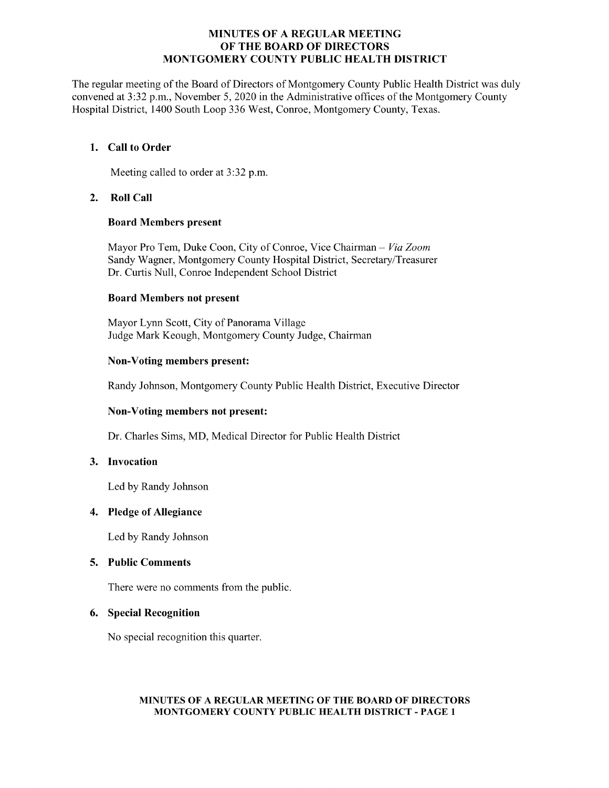## MINUTES OF A REGULAR MEETING OF THE BOARD OF DIRECTORS MONTGOMERY COUNTY PUBLIC HEALTH DISTRICT

The regular meeting of the Board of Directors of Montgomery County Public Health District was duly convened at 3:32 p.m., November 5, 2020 in the Administrative offices of the Montgomery County Hospital District, 1400 South Loop 336 West, Conroe, Montgomery County, Texas.

## 1. Call to Order

Meeting called to order at 3:32 p.m.

# 2. Roll Call

### Board Members present

Mayor Pro Tem, Duke Coon, City of Conroe, Vice Chairman - Via Zoom Sandy Wagner, Montgomery County Hospital District, Secretary/Treasurer Dr. Curtis Null, Conroe Independent School District

### Board Members not present

Mayor Lynn Scott, City of Panorama Village Judge Mark Keough, Montgomery County Judge, Chairman

### Non-Voting members present:

Randy Johnson, Montgomery County Public Health District, Executive Director

# Non-Voting members not present:

Dr. Charles Sims, MD, Medical Director for Public Health District

### 3. Invocation

Led by Randy Johnson

### 4. Pledge of Allegiance

Led by Randy Johnson

# 5. Public Comments

There were no comments from the public.

### 6. Special Recognition

No special recognition this quarter.

### MINUTES OF A REGULAR MEETING OF THE BOARD OF DIRECTORS MONTGOMERY COUNTY PUBLIC HEALTH DISTRICT - PAGE 1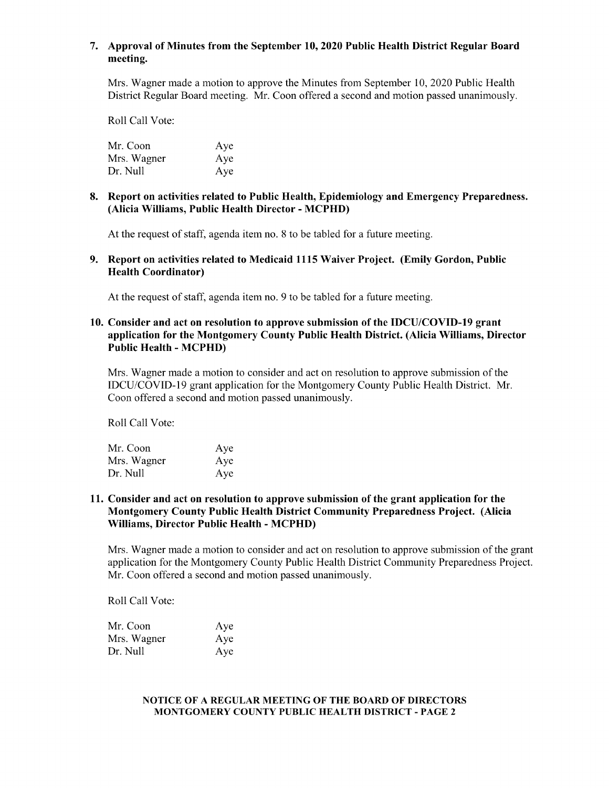# 7. Approval of Minutes from the September 10, 2020 Public Health District Regular Board meeting.

Mrs. Wagner made a motion to approve the Minutes from September 10, 2020 Public Health District Regular Board meeting. Mr. Coon offered a second and motion passed unanimously.

Roll Call Vote:

| Mr. Coon    | Aye |
|-------------|-----|
| Mrs. Wagner | Aye |
| Dr. Null    | Aye |

### 8. Report on activities related to Public Health, Epidemiology and Emergency Preparedness. Alicia Williams, Public Health Director - MCPHD)

At the request of staff, agenda item no. 8 to be tabled for a future meeting.

9. Report on activities related to Medicaid 1115 Waiver Project. (Emily Gordon, Public Health Coordinator)

At the request of staff, agenda item no. 9 to be tabled for a future meeting.

## 10. Consider and act on resolution to approve submission of the IDCU/COVID-19 grant application for the Montgomery County Public Health District. (Alicia Williams, Director Public Health - MCPHD)

Mrs. Wagner made a motion to consider and act on resolution to approve submission of the IDCU/COVID-19 grant application for the Montgomery County Public Health District. Mr. Coon offered a second and motion passed unanimously.

Roll Call Vote:

| Mr. Coon    | Aye |
|-------------|-----|
| Mrs. Wagner | Aye |
| Dr. Null    | Aye |

## 11. Consider and act on resolution to approve submission of the grant application for the Montgomery County Public Health District Community Preparedness Project. (Alicia Williams, Director Public Health - MCPHD)

Mrs. Wagner made a motion to consider and act on resolution to approve submission of the grant application for the Montgomery County Public Health District Community Preparedness Project. Mr. Coon offered a second and motion passed unanimously.

Roll Call Vote:

| Mr. Coon    | Aye |
|-------------|-----|
| Mrs. Wagner | Aye |
| Dr. Null    | Aye |

#### NOTICE OF A REGULAR MEETING OF THE BOARD OF DIRECTORS MONTGOMERY COUNTY PUBLIC HEALTH DISTRICT - PAGE 2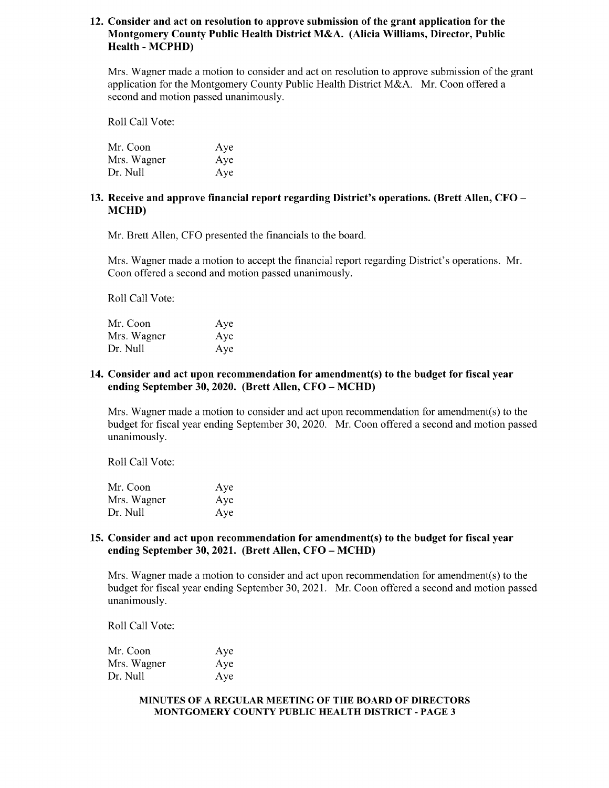# 12. Consider and act on resolution to approve submission of the grant application for the Montgomery County Public Health District M&A. (Alicia Williams, Director, Public Health - MCPHD)

Mrs. Wagner made a motion to consider and act on resolution to approve submission of the grant application for the Montgomery County Public Health District M&A. Mr. Coon offered a second and motion passed unanimously.

Roll Call Vote:

| Mr. Coon    | Aye |
|-------------|-----|
| Mrs. Wagner | Aye |
| Dr. Null    | Aye |

# 13. Receive and approve financial report regarding District's operations. (Brett Allen, CFO – MCHD)

Mr. Brett Allen, CFO presented the financials to the board.

Mrs. Wagner made a motion to accept the financial report regarding District' s operations. Mr. Coon offered a second and motion passed unanimously.

Roll Call Vote:

| Mr. Coon    | Aye |
|-------------|-----|
| Mrs. Wagner | Aye |
| Dr. Null    | Aye |

## 14. Consider and act upon recommendation for amendment(s) to the budget for fiscal year ending September 30, 2020. (Brett Allen, CFO – MCHD)

Mrs. Wagner made a motion to consider and act upon recommendation for amendment(s) to the budget for fiscal year ending September 30, 2020. Mr. Coon offered a second and motion passed unanimously.

Roll Call Vote:

| Mr. Coon    | Aye |
|-------------|-----|
| Mrs. Wagner | Aye |
| Dr. Null    | Aye |

## 15. Consider and act upon recommendation for amendment(s) to the budget for fiscal year ending September 30, 2021. (Brett Allen, CFO – MCHD)

Mrs. Wagner made a motion to consider and act upon recommendation for amendment(s) to the budget for fiscal year ending September 30, 2021. Mr. Coon offered a second and motion passed unanimously.

Roll Call Vote:

| Mr. Coon    | Aye |
|-------------|-----|
| Mrs. Wagner | Aye |
| Dr. Null    | Aye |

#### MINUTES OF A REGULAR MEETING OF THE BOARD OF DIRECTORS MONTGOMERY COUNTY PUBLIC HEALTH DISTRICT - PAGE 3